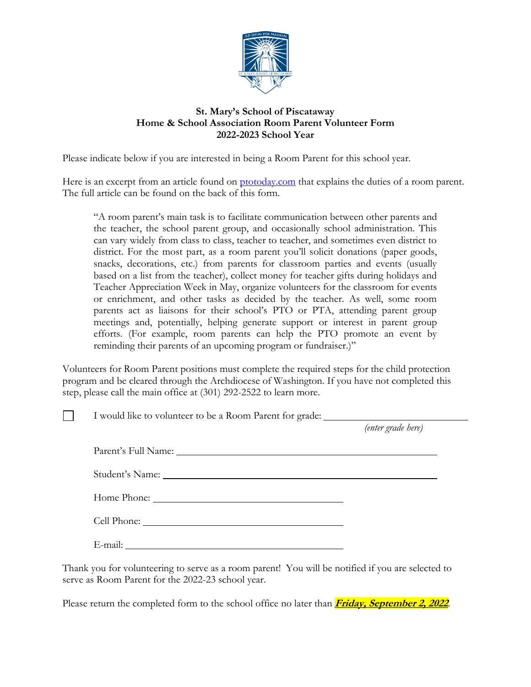

# **St. Mary's School of Piscataway Home & School Association Room Parent Volunteer Form 2022-2023 School Year**

Please indicate below if you are interested in being a Room Parent for this school year.

Here is an excerpt from an article found on [ptotoday.com](https://www.ptotoday.com/pto-today-articles/article/1329-what-does-a-room-parent-do) that explains the duties of a room parent. The full article can be found on the back of this form.

"A room parent's main task is to facilitate communication between other parents and the teacher, the school parent group, and occasionally school administration. This can vary widely from class to class, teacher to teacher, and sometimes even district to district. For the most part, as a room parent you'll solicit donations (paper goods, snacks, decorations, etc.) from parents for classroom parties and events (usually based on a list from the teacher), collect money for teacher gifts during holidays and Teacher Appreciation Week in May, organize volunteers for the classroom for events or enrichment, and other tasks as decided by the teacher. As well, some room parents act as liaisons for their school's PTO or PTA, attending parent group meetings and, potentially, helping generate support or interest in parent group efforts. (For example, room parents can help the PTO promote an event by reminding their parents of an upcoming program or fundraiser.)"

Volunteers for Room Parent positions must complete the required steps for the child protection program and be cleared through the Archdiocese of Washington. If you have not completed this step, please call the main office at (301) 292-2522 to learn more.

I would like to volunteer to be a Room Parent for grade:

*(enter grade here)*

Parent's Full Name:

Student's Name:

 $\Box$ 

Home Phone:

Cell Phone:

E-mail:

Thank you for volunteering to serve as a room parent! You will be notified if you are selected to serve as Room Parent for the 2022-23 school year.

Please return the completed form to the school office no later than **Friday, September 2, 2022**.